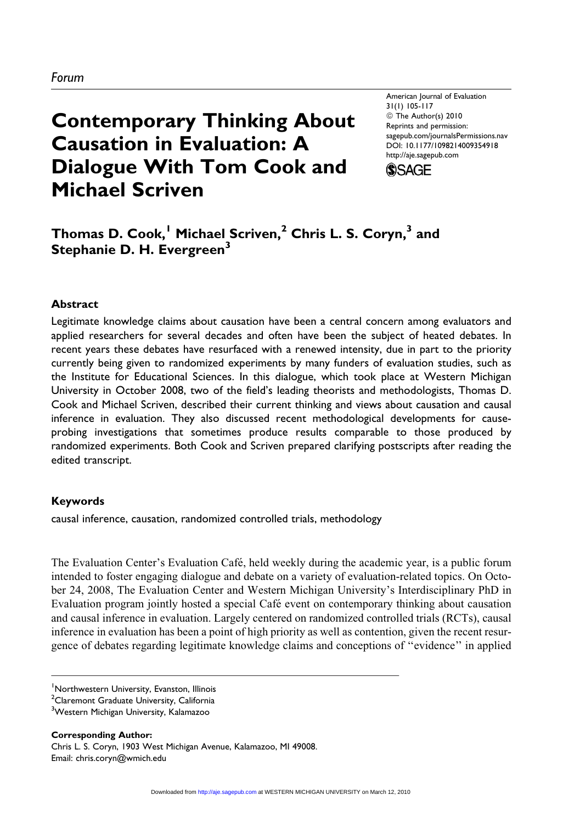# Contemporary Thinking About Causation in Evaluation: A Dialogue With Tom Cook and Michael Scriven

American Journal of Evaluation 31(1) 105-117 © The Author(s) 2010 Reprints and permission: sagepub.com/journalsPermissions.nav DOI: 10.1177/1098214009354918 http://aje.sagepub.com



## Thomas D. Cook,<sup>1</sup> Michael Scriven,<sup>2</sup> Chris L. S. Coryn,<sup>3</sup> and Stephanie D. H. Evergreen<sup>3</sup>

## **Abstract**

Legitimate knowledge claims about causation have been a central concern among evaluators and applied researchers for several decades and often have been the subject of heated debates. In recent years these debates have resurfaced with a renewed intensity, due in part to the priority currently being given to randomized experiments by many funders of evaluation studies, such as the Institute for Educational Sciences. In this dialogue, which took place at Western Michigan University in October 2008, two of the field's leading theorists and methodologists, Thomas D. Cook and Michael Scriven, described their current thinking and views about causation and causal inference in evaluation. They also discussed recent methodological developments for causeprobing investigations that sometimes produce results comparable to those produced by randomized experiments. Both Cook and Scriven prepared clarifying postscripts after reading the edited transcript.

## Keywords

causal inference, causation, randomized controlled trials, methodology

The Evaluation Center's Evaluation Café, held weekly during the academic year, is a public forum intended to foster engaging dialogue and debate on a variety of evaluation-related topics. On October 24, 2008, The Evaluation Center and Western Michigan University's Interdisciplinary PhD in Evaluation program jointly hosted a special Cafe´ event on contemporary thinking about causation and causal inference in evaluation. Largely centered on randomized controlled trials (RCTs), causal inference in evaluation has been a point of high priority as well as contention, given the recent resurgence of debates regarding legitimate knowledge claims and conceptions of ''evidence'' in applied

Corresponding Author:

Chris L. S. Coryn, 1903 West Michigan Avenue, Kalamazoo, MI 49008. Email: chris.coryn@wmich.edu

<sup>1</sup> Northwestern University, Evanston, Illinois

<sup>&</sup>lt;sup>2</sup> Claremont Graduate University, California

<sup>3</sup> Western Michigan University, Kalamazoo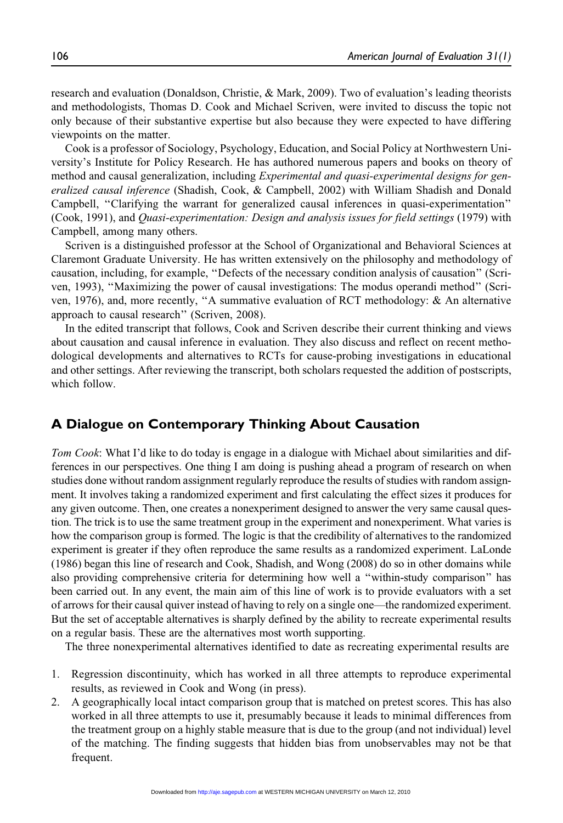research and evaluation (Donaldson, Christie, & Mark, 2009). Two of evaluation's leading theorists and methodologists, Thomas D. Cook and Michael Scriven, were invited to discuss the topic not only because of their substantive expertise but also because they were expected to have differing viewpoints on the matter.

Cook is a professor of Sociology, Psychology, Education, and Social Policy at Northwestern University's Institute for Policy Research. He has authored numerous papers and books on theory of method and causal generalization, including Experimental and quasi-experimental designs for generalized causal inference (Shadish, Cook, & Campbell, 2002) with William Shadish and Donald Campbell, ''Clarifying the warrant for generalized causal inferences in quasi-experimentation'' (Cook, 1991), and Quasi-experimentation: Design and analysis issues for field settings (1979) with Campbell, among many others.

Scriven is a distinguished professor at the School of Organizational and Behavioral Sciences at Claremont Graduate University. He has written extensively on the philosophy and methodology of causation, including, for example, ''Defects of the necessary condition analysis of causation'' (Scriven, 1993), ''Maximizing the power of causal investigations: The modus operandi method'' (Scriven, 1976), and, more recently, ''A summative evaluation of RCT methodology: & An alternative approach to causal research'' (Scriven, 2008).

In the edited transcript that follows, Cook and Scriven describe their current thinking and views about causation and causal inference in evaluation. They also discuss and reflect on recent methodological developments and alternatives to RCTs for cause-probing investigations in educational and other settings. After reviewing the transcript, both scholars requested the addition of postscripts, which follow.

## A Dialogue on Contemporary Thinking About Causation

Tom Cook: What I'd like to do today is engage in a dialogue with Michael about similarities and differences in our perspectives. One thing I am doing is pushing ahead a program of research on when studies done without random assignment regularly reproduce the results of studies with random assignment. It involves taking a randomized experiment and first calculating the effect sizes it produces for any given outcome. Then, one creates a nonexperiment designed to answer the very same causal question. The trick is to use the same treatment group in the experiment and nonexperiment. What varies is how the comparison group is formed. The logic is that the credibility of alternatives to the randomized experiment is greater if they often reproduce the same results as a randomized experiment. LaLonde (1986) began this line of research and Cook, Shadish, and Wong (2008) do so in other domains while also providing comprehensive criteria for determining how well a ''within-study comparison'' has been carried out. In any event, the main aim of this line of work is to provide evaluators with a set of arrows for their causal quiver instead of having to rely on a single one—the randomized experiment. But the set of acceptable alternatives is sharply defined by the ability to recreate experimental results on a regular basis. These are the alternatives most worth supporting.

The three nonexperimental alternatives identified to date as recreating experimental results are

- 1. Regression discontinuity, which has worked in all three attempts to reproduce experimental results, as reviewed in Cook and Wong (in press).
- 2. A geographically local intact comparison group that is matched on pretest scores. This has also worked in all three attempts to use it, presumably because it leads to minimal differences from the treatment group on a highly stable measure that is due to the group (and not individual) level of the matching. The finding suggests that hidden bias from unobservables may not be that frequent.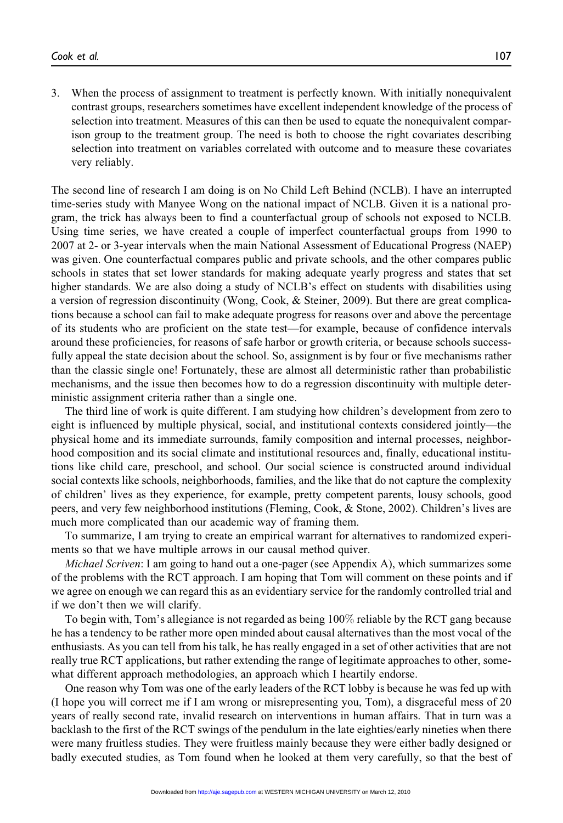3. When the process of assignment to treatment is perfectly known. With initially nonequivalent contrast groups, researchers sometimes have excellent independent knowledge of the process of selection into treatment. Measures of this can then be used to equate the nonequivalent comparison group to the treatment group. The need is both to choose the right covariates describing selection into treatment on variables correlated with outcome and to measure these covariates very reliably.

The second line of research I am doing is on No Child Left Behind (NCLB). I have an interrupted time-series study with Manyee Wong on the national impact of NCLB. Given it is a national program, the trick has always been to find a counterfactual group of schools not exposed to NCLB. Using time series, we have created a couple of imperfect counterfactual groups from 1990 to 2007 at 2- or 3-year intervals when the main National Assessment of Educational Progress (NAEP) was given. One counterfactual compares public and private schools, and the other compares public schools in states that set lower standards for making adequate yearly progress and states that set higher standards. We are also doing a study of NCLB's effect on students with disabilities using a version of regression discontinuity (Wong, Cook, & Steiner, 2009). But there are great complications because a school can fail to make adequate progress for reasons over and above the percentage of its students who are proficient on the state test—for example, because of confidence intervals around these proficiencies, for reasons of safe harbor or growth criteria, or because schools successfully appeal the state decision about the school. So, assignment is by four or five mechanisms rather than the classic single one! Fortunately, these are almost all deterministic rather than probabilistic mechanisms, and the issue then becomes how to do a regression discontinuity with multiple deterministic assignment criteria rather than a single one.

The third line of work is quite different. I am studying how children's development from zero to eight is influenced by multiple physical, social, and institutional contexts considered jointly—the physical home and its immediate surrounds, family composition and internal processes, neighborhood composition and its social climate and institutional resources and, finally, educational institutions like child care, preschool, and school. Our social science is constructed around individual social contexts like schools, neighborhoods, families, and the like that do not capture the complexity of children' lives as they experience, for example, pretty competent parents, lousy schools, good peers, and very few neighborhood institutions (Fleming, Cook, & Stone, 2002). Children's lives are much more complicated than our academic way of framing them.

To summarize, I am trying to create an empirical warrant for alternatives to randomized experiments so that we have multiple arrows in our causal method quiver.

Michael Scriven: I am going to hand out a one-pager (see Appendix A), which summarizes some of the problems with the RCT approach. I am hoping that Tom will comment on these points and if we agree on enough we can regard this as an evidentiary service for the randomly controlled trial and if we don't then we will clarify.

To begin with, Tom's allegiance is not regarded as being 100% reliable by the RCT gang because he has a tendency to be rather more open minded about causal alternatives than the most vocal of the enthusiasts. As you can tell from his talk, he has really engaged in a set of other activities that are not really true RCT applications, but rather extending the range of legitimate approaches to other, somewhat different approach methodologies, an approach which I heartily endorse.

One reason why Tom was one of the early leaders of the RCT lobby is because he was fed up with (I hope you will correct me if I am wrong or misrepresenting you, Tom), a disgraceful mess of 20 years of really second rate, invalid research on interventions in human affairs. That in turn was a backlash to the first of the RCT swings of the pendulum in the late eighties/early nineties when there were many fruitless studies. They were fruitless mainly because they were either badly designed or badly executed studies, as Tom found when he looked at them very carefully, so that the best of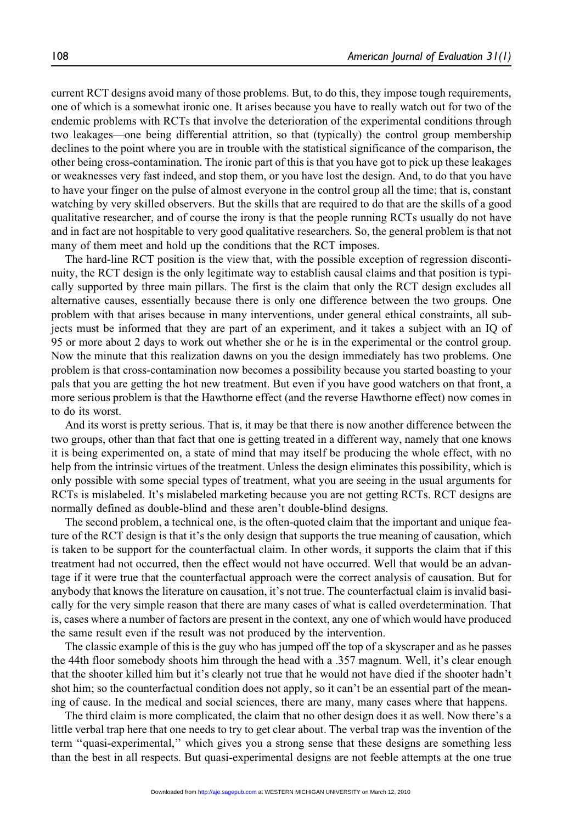current RCT designs avoid many of those problems. But, to do this, they impose tough requirements, one of which is a somewhat ironic one. It arises because you have to really watch out for two of the endemic problems with RCTs that involve the deterioration of the experimental conditions through two leakages—one being differential attrition, so that (typically) the control group membership declines to the point where you are in trouble with the statistical significance of the comparison, the other being cross-contamination. The ironic part of this is that you have got to pick up these leakages or weaknesses very fast indeed, and stop them, or you have lost the design. And, to do that you have to have your finger on the pulse of almost everyone in the control group all the time; that is, constant watching by very skilled observers. But the skills that are required to do that are the skills of a good qualitative researcher, and of course the irony is that the people running RCTs usually do not have and in fact are not hospitable to very good qualitative researchers. So, the general problem is that not many of them meet and hold up the conditions that the RCT imposes.

The hard-line RCT position is the view that, with the possible exception of regression discontinuity, the RCT design is the only legitimate way to establish causal claims and that position is typically supported by three main pillars. The first is the claim that only the RCT design excludes all alternative causes, essentially because there is only one difference between the two groups. One problem with that arises because in many interventions, under general ethical constraints, all subjects must be informed that they are part of an experiment, and it takes a subject with an IQ of 95 or more about 2 days to work out whether she or he is in the experimental or the control group. Now the minute that this realization dawns on you the design immediately has two problems. One problem is that cross-contamination now becomes a possibility because you started boasting to your pals that you are getting the hot new treatment. But even if you have good watchers on that front, a more serious problem is that the Hawthorne effect (and the reverse Hawthorne effect) now comes in to do its worst.

And its worst is pretty serious. That is, it may be that there is now another difference between the two groups, other than that fact that one is getting treated in a different way, namely that one knows it is being experimented on, a state of mind that may itself be producing the whole effect, with no help from the intrinsic virtues of the treatment. Unless the design eliminates this possibility, which is only possible with some special types of treatment, what you are seeing in the usual arguments for RCTs is mislabeled. It's mislabeled marketing because you are not getting RCTs. RCT designs are normally defined as double-blind and these aren't double-blind designs.

The second problem, a technical one, is the often-quoted claim that the important and unique feature of the RCT design is that it's the only design that supports the true meaning of causation, which is taken to be support for the counterfactual claim. In other words, it supports the claim that if this treatment had not occurred, then the effect would not have occurred. Well that would be an advantage if it were true that the counterfactual approach were the correct analysis of causation. But for anybody that knows the literature on causation, it's not true. The counterfactual claim is invalid basically for the very simple reason that there are many cases of what is called overdetermination. That is, cases where a number of factors are present in the context, any one of which would have produced the same result even if the result was not produced by the intervention.

The classic example of this is the guy who has jumped off the top of a skyscraper and as he passes the 44th floor somebody shoots him through the head with a .357 magnum. Well, it's clear enough that the shooter killed him but it's clearly not true that he would not have died if the shooter hadn't shot him; so the counterfactual condition does not apply, so it can't be an essential part of the meaning of cause. In the medical and social sciences, there are many, many cases where that happens.

The third claim is more complicated, the claim that no other design does it as well. Now there's a little verbal trap here that one needs to try to get clear about. The verbal trap was the invention of the term ''quasi-experimental,'' which gives you a strong sense that these designs are something less than the best in all respects. But quasi-experimental designs are not feeble attempts at the one true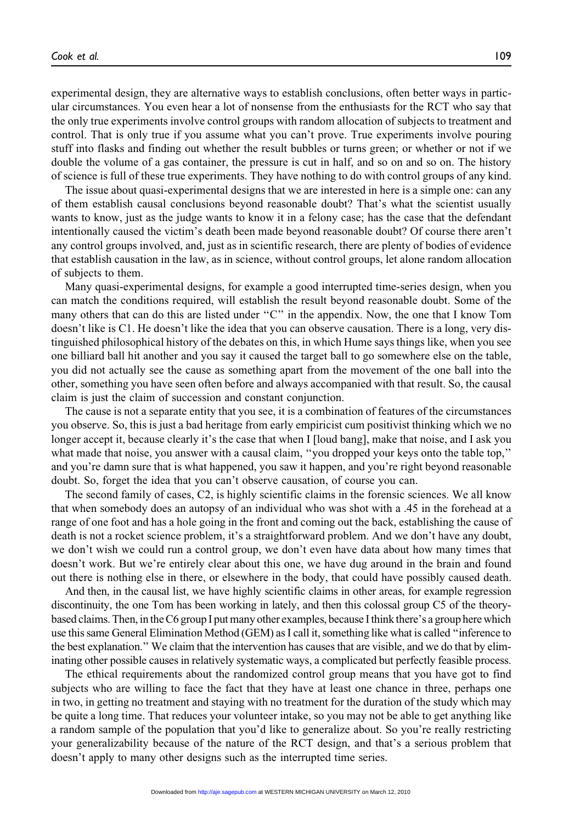experimental design, they are alternative ways to establish conclusions, often better ways in particular circumstances. You even hear a lot of nonsense from the enthusiasts for the RCT who say that the only true experiments involve control groups with random allocation of subjects to treatment and control. That is only true if you assume what you can't prove. True experiments involve pouring stuff into flasks and finding out whether the result bubbles or turns green; or whether or not if we double the volume of a gas container, the pressure is cut in half, and so on and so on. The history of science is full of these true experiments. They have nothing to do with control groups of any kind.

The issue about quasi-experimental designs that we are interested in here is a simple one: can any of them establish causal conclusions beyond reasonable doubt? That's what the scientist usually wants to know, just as the judge wants to know it in a felony case; has the case that the defendant intentionally caused the victim's death been made beyond reasonable doubt? Of course there aren't any control groups involved, and, just as in scientific research, there are plenty of bodies of evidence that establish causation in the law, as in science, without control groups, let alone random allocation of subjects to them.

Many quasi-experimental designs, for example a good interrupted time-series design, when you can match the conditions required, will establish the result beyond reasonable doubt. Some of the many others that can do this are listed under "C" in the appendix. Now, the one that I know Tom doesn't like is C1. He doesn't like the idea that you can observe causation. There is a long, very distinguished philosophical history of the debates on this, in which Hume says things like, when you see one billiard ball hit another and you say it caused the target ball to go somewhere else on the table, you did not actually see the cause as something apart from the movement of the one ball into the other, something you have seen often before and always accompanied with that result. So, the causal claim is just the claim of succession and constant conjunction.

The cause is not a separate entity that you see, it is a combination of features of the circumstances you observe. So, this is just a bad heritage from early empiricist cum positivist thinking which we no longer accept it, because clearly it's the case that when I [loud bang], make that noise, and I ask you what made that noise, you answer with a causal claim, "you dropped your keys onto the table top," and you're damn sure that is what happened, you saw it happen, and you're right beyond reasonable doubt. So, forget the idea that you can't observe causation, of course you can.

The second family of cases, C2, is highly scientific claims in the forensic sciences. We all know that when somebody does an autopsy of an individual who was shot with a .45 in the forehead at a range of one foot and has a hole going in the front and coming out the back, establishing the cause of death is not a rocket science problem, it's a straightforward problem. And we don't have any doubt, we don't wish we could run a control group, we don't even have data about how many times that doesn't work. But we're entirely clear about this one, we have dug around in the brain and found out there is nothing else in there, or elsewhere in the body, that could have possibly caused death.

And then, in the causal list, we have highly scientific claims in other areas, for example regression discontinuity, the one Tom has been working in lately, and then this colossal group C5 of the theorybased claims. Then, in theC6 group I put many other examples, because I thinkthere's a group here which use this same General Elimination Method (GEM) as I call it, something like what is called ''inference to the best explanation.'' We claim that the intervention has causes that are visible, and we do that by eliminating other possible causes in relatively systematic ways, a complicated but perfectly feasible process.

The ethical requirements about the randomized control group means that you have got to find subjects who are willing to face the fact that they have at least one chance in three, perhaps one in two, in getting no treatment and staying with no treatment for the duration of the study which may be quite a long time. That reduces your volunteer intake, so you may not be able to get anything like a random sample of the population that you'd like to generalize about. So you're really restricting your generalizability because of the nature of the RCT design, and that's a serious problem that doesn't apply to many other designs such as the interrupted time series.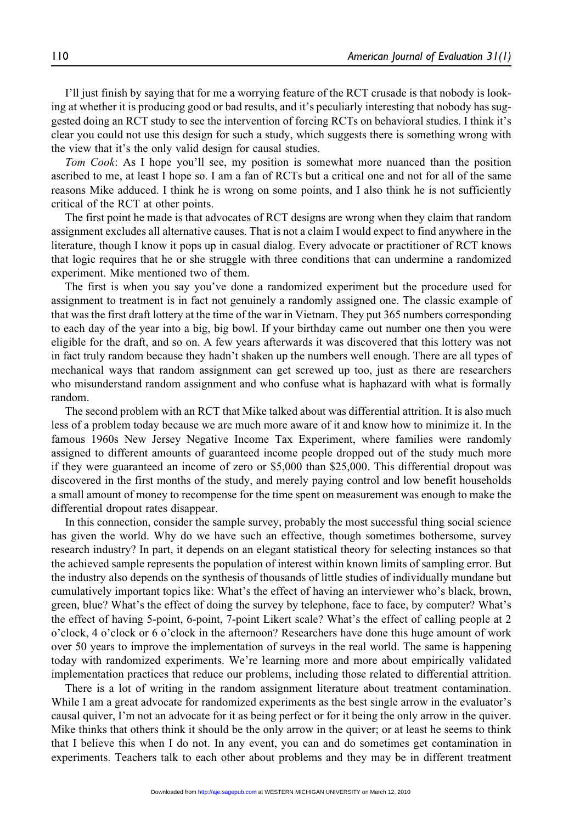I'll just finish by saying that for me a worrying feature of the RCT crusade is that nobody is looking at whether it is producing good or bad results, and it's peculiarly interesting that nobody has suggested doing an RCT study to see the intervention of forcing RCTs on behavioral studies. I think it's clear you could not use this design for such a study, which suggests there is something wrong with the view that it's the only valid design for causal studies.

Tom Cook: As I hope you'll see, my position is somewhat more nuanced than the position ascribed to me, at least I hope so. I am a fan of RCTs but a critical one and not for all of the same reasons Mike adduced. I think he is wrong on some points, and I also think he is not sufficiently critical of the RCT at other points.

The first point he made is that advocates of RCT designs are wrong when they claim that random assignment excludes all alternative causes. That is not a claim I would expect to find anywhere in the literature, though I know it pops up in casual dialog. Every advocate or practitioner of RCT knows that logic requires that he or she struggle with three conditions that can undermine a randomized experiment. Mike mentioned two of them.

The first is when you say you've done a randomized experiment but the procedure used for assignment to treatment is in fact not genuinely a randomly assigned one. The classic example of that was the first draft lottery at the time of the war in Vietnam. They put 365 numbers corresponding to each day of the year into a big, big bowl. If your birthday came out number one then you were eligible for the draft, and so on. A few years afterwards it was discovered that this lottery was not in fact truly random because they hadn't shaken up the numbers well enough. There are all types of mechanical ways that random assignment can get screwed up too, just as there are researchers who misunderstand random assignment and who confuse what is haphazard with what is formally random.

The second problem with an RCT that Mike talked about was differential attrition. It is also much less of a problem today because we are much more aware of it and know how to minimize it. In the famous 1960s New Jersey Negative Income Tax Experiment, where families were randomly assigned to different amounts of guaranteed income people dropped out of the study much more if they were guaranteed an income of zero or \$5,000 than \$25,000. This differential dropout was discovered in the first months of the study, and merely paying control and low benefit households a small amount of money to recompense for the time spent on measurement was enough to make the differential dropout rates disappear.

In this connection, consider the sample survey, probably the most successful thing social science has given the world. Why do we have such an effective, though sometimes bothersome, survey research industry? In part, it depends on an elegant statistical theory for selecting instances so that the achieved sample represents the population of interest within known limits of sampling error. But the industry also depends on the synthesis of thousands of little studies of individually mundane but cumulatively important topics like: What's the effect of having an interviewer who's black, brown, green, blue? What's the effect of doing the survey by telephone, face to face, by computer? What's the effect of having 5-point, 6-point, 7-point Likert scale? What's the effect of calling people at 2 o'clock, 4 o'clock or 6 o'clock in the afternoon? Researchers have done this huge amount of work over 50 years to improve the implementation of surveys in the real world. The same is happening today with randomized experiments. We're learning more and more about empirically validated implementation practices that reduce our problems, including those related to differential attrition.

There is a lot of writing in the random assignment literature about treatment contamination. While I am a great advocate for randomized experiments as the best single arrow in the evaluator's causal quiver, I'm not an advocate for it as being perfect or for it being the only arrow in the quiver. Mike thinks that others think it should be the only arrow in the quiver; or at least he seems to think that I believe this when I do not. In any event, you can and do sometimes get contamination in experiments. Teachers talk to each other about problems and they may be in different treatment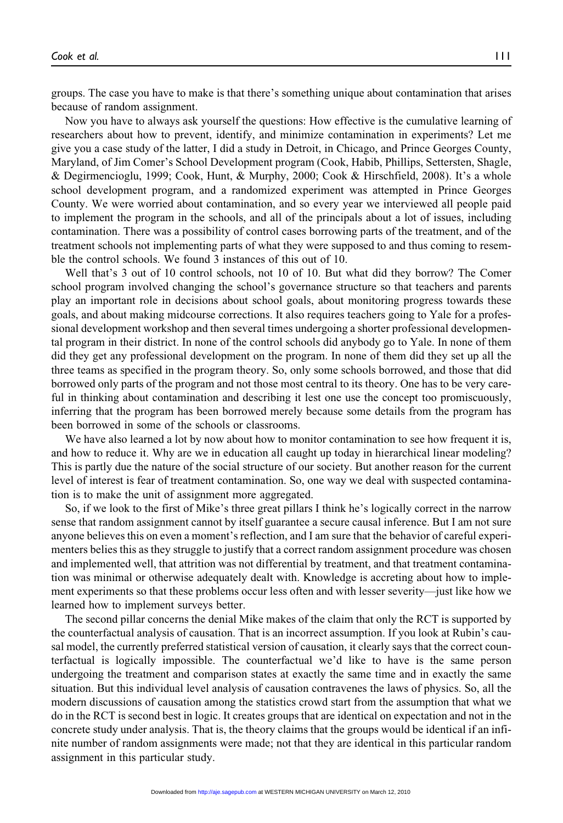groups. The case you have to make is that there's something unique about contamination that arises because of random assignment.

Now you have to always ask yourself the questions: How effective is the cumulative learning of researchers about how to prevent, identify, and minimize contamination in experiments? Let me give you a case study of the latter, I did a study in Detroit, in Chicago, and Prince Georges County, Maryland, of Jim Comer's School Development program (Cook, Habib, Phillips, Settersten, Shagle, & Degirmencioglu, 1999; Cook, Hunt, & Murphy, 2000; Cook & Hirschfield, 2008). It's a whole school development program, and a randomized experiment was attempted in Prince Georges County. We were worried about contamination, and so every year we interviewed all people paid to implement the program in the schools, and all of the principals about a lot of issues, including contamination. There was a possibility of control cases borrowing parts of the treatment, and of the treatment schools not implementing parts of what they were supposed to and thus coming to resemble the control schools. We found 3 instances of this out of 10.

Well that's 3 out of 10 control schools, not 10 of 10. But what did they borrow? The Comer school program involved changing the school's governance structure so that teachers and parents play an important role in decisions about school goals, about monitoring progress towards these goals, and about making midcourse corrections. It also requires teachers going to Yale for a professional development workshop and then several times undergoing a shorter professional developmental program in their district. In none of the control schools did anybody go to Yale. In none of them did they get any professional development on the program. In none of them did they set up all the three teams as specified in the program theory. So, only some schools borrowed, and those that did borrowed only parts of the program and not those most central to its theory. One has to be very careful in thinking about contamination and describing it lest one use the concept too promiscuously, inferring that the program has been borrowed merely because some details from the program has been borrowed in some of the schools or classrooms.

We have also learned a lot by now about how to monitor contamination to see how frequent it is, and how to reduce it. Why are we in education all caught up today in hierarchical linear modeling? This is partly due the nature of the social structure of our society. But another reason for the current level of interest is fear of treatment contamination. So, one way we deal with suspected contamination is to make the unit of assignment more aggregated.

So, if we look to the first of Mike's three great pillars I think he's logically correct in the narrow sense that random assignment cannot by itself guarantee a secure causal inference. But I am not sure anyone believes this on even a moment's reflection, and I am sure that the behavior of careful experimenters belies this as they struggle to justify that a correct random assignment procedure was chosen and implemented well, that attrition was not differential by treatment, and that treatment contamination was minimal or otherwise adequately dealt with. Knowledge is accreting about how to implement experiments so that these problems occur less often and with lesser severity—just like how we learned how to implement surveys better.

The second pillar concerns the denial Mike makes of the claim that only the RCT is supported by the counterfactual analysis of causation. That is an incorrect assumption. If you look at Rubin's causal model, the currently preferred statistical version of causation, it clearly says that the correct counterfactual is logically impossible. The counterfactual we'd like to have is the same person undergoing the treatment and comparison states at exactly the same time and in exactly the same situation. But this individual level analysis of causation contravenes the laws of physics. So, all the modern discussions of causation among the statistics crowd start from the assumption that what we do in the RCT is second best in logic. It creates groups that are identical on expectation and not in the concrete study under analysis. That is, the theory claims that the groups would be identical if an infinite number of random assignments were made; not that they are identical in this particular random assignment in this particular study.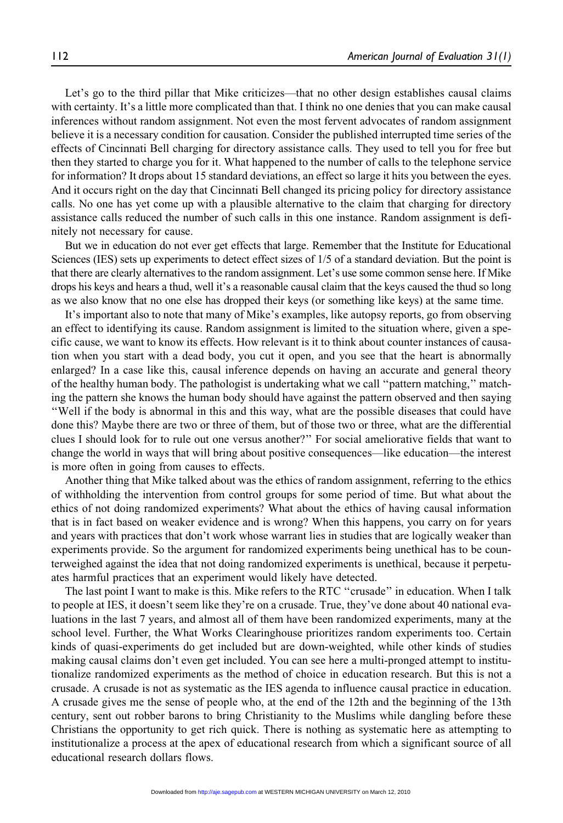Let's go to the third pillar that Mike criticizes—that no other design establishes causal claims with certainty. It's a little more complicated than that. I think no one denies that you can make causal inferences without random assignment. Not even the most fervent advocates of random assignment believe it is a necessary condition for causation. Consider the published interrupted time series of the effects of Cincinnati Bell charging for directory assistance calls. They used to tell you for free but then they started to charge you for it. What happened to the number of calls to the telephone service for information? It drops about 15 standard deviations, an effect so large it hits you between the eyes. And it occurs right on the day that Cincinnati Bell changed its pricing policy for directory assistance calls. No one has yet come up with a plausible alternative to the claim that charging for directory assistance calls reduced the number of such calls in this one instance. Random assignment is definitely not necessary for cause.

But we in education do not ever get effects that large. Remember that the Institute for Educational Sciences (IES) sets up experiments to detect effect sizes of 1/5 of a standard deviation. But the point is that there are clearly alternatives to the random assignment. Let's use some common sense here. If Mike drops his keys and hears a thud, well it's a reasonable causal claim that the keys caused the thud so long as we also know that no one else has dropped their keys (or something like keys) at the same time.

It's important also to note that many of Mike's examples, like autopsy reports, go from observing an effect to identifying its cause. Random assignment is limited to the situation where, given a specific cause, we want to know its effects. How relevant is it to think about counter instances of causation when you start with a dead body, you cut it open, and you see that the heart is abnormally enlarged? In a case like this, causal inference depends on having an accurate and general theory of the healthy human body. The pathologist is undertaking what we call ''pattern matching,'' matching the pattern she knows the human body should have against the pattern observed and then saying ''Well if the body is abnormal in this and this way, what are the possible diseases that could have done this? Maybe there are two or three of them, but of those two or three, what are the differential clues I should look for to rule out one versus another?'' For social ameliorative fields that want to change the world in ways that will bring about positive consequences—like education—the interest is more often in going from causes to effects.

Another thing that Mike talked about was the ethics of random assignment, referring to the ethics of withholding the intervention from control groups for some period of time. But what about the ethics of not doing randomized experiments? What about the ethics of having causal information that is in fact based on weaker evidence and is wrong? When this happens, you carry on for years and years with practices that don't work whose warrant lies in studies that are logically weaker than experiments provide. So the argument for randomized experiments being unethical has to be counterweighed against the idea that not doing randomized experiments is unethical, because it perpetuates harmful practices that an experiment would likely have detected.

The last point I want to make is this. Mike refers to the RTC ''crusade'' in education. When I talk to people at IES, it doesn't seem like they're on a crusade. True, they've done about 40 national evaluations in the last 7 years, and almost all of them have been randomized experiments, many at the school level. Further, the What Works Clearinghouse prioritizes random experiments too. Certain kinds of quasi-experiments do get included but are down-weighted, while other kinds of studies making causal claims don't even get included. You can see here a multi-pronged attempt to institutionalize randomized experiments as the method of choice in education research. But this is not a crusade. A crusade is not as systematic as the IES agenda to influence causal practice in education. A crusade gives me the sense of people who, at the end of the 12th and the beginning of the 13th century, sent out robber barons to bring Christianity to the Muslims while dangling before these Christians the opportunity to get rich quick. There is nothing as systematic here as attempting to institutionalize a process at the apex of educational research from which a significant source of all educational research dollars flows.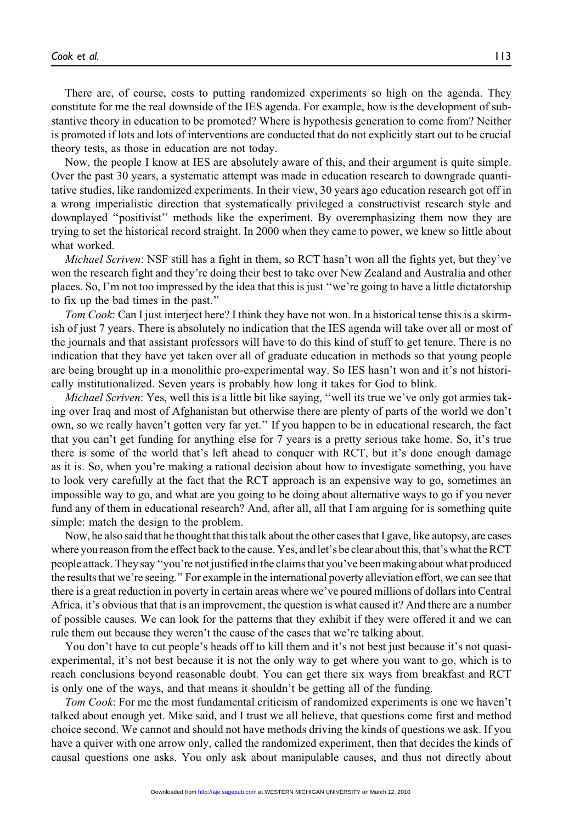There are, of course, costs to putting randomized experiments so high on the agenda. They constitute for me the real downside of the IES agenda. For example, how is the development of substantive theory in education to be promoted? Where is hypothesis generation to come from? Neither is promoted if lots and lots of interventions are conducted that do not explicitly start out to be crucial theory tests, as those in education are not today.

Now, the people I know at IES are absolutely aware of this, and their argument is quite simple. Over the past 30 years, a systematic attempt was made in education research to downgrade quantitative studies, like randomized experiments. In their view, 30 years ago education research got off in a wrong imperialistic direction that systematically privileged a constructivist research style and downplayed ''positivist'' methods like the experiment. By overemphasizing them now they are trying to set the historical record straight. In 2000 when they came to power, we knew so little about what worked.

Michael Scriven: NSF still has a fight in them, so RCT hasn't won all the fights yet, but they've won the research fight and they're doing their best to take over New Zealand and Australia and other places. So, I'm not too impressed by the idea that this is just ''we're going to have a little dictatorship to fix up the bad times in the past.''

Tom Cook: Can I just interject here? I think they have not won. In a historical tense this is a skirmish of just 7 years. There is absolutely no indication that the IES agenda will take over all or most of the journals and that assistant professors will have to do this kind of stuff to get tenure. There is no indication that they have yet taken over all of graduate education in methods so that young people are being brought up in a monolithic pro-experimental way. So IES hasn't won and it's not historically institutionalized. Seven years is probably how long it takes for God to blink.

Michael Scriven: Yes, well this is a little bit like saying, ''well its true we've only got armies taking over Iraq and most of Afghanistan but otherwise there are plenty of parts of the world we don't own, so we really haven't gotten very far yet.'' If you happen to be in educational research, the fact that you can't get funding for anything else for 7 years is a pretty serious take home. So, it's true there is some of the world that's left ahead to conquer with RCT, but it's done enough damage as it is. So, when you're making a rational decision about how to investigate something, you have to look very carefully at the fact that the RCT approach is an expensive way to go, sometimes an impossible way to go, and what are you going to be doing about alternative ways to go if you never fund any of them in educational research? And, after all, all that I am arguing for is something quite simple: match the design to the problem.

Now, he also said that he thought that this talk about the other cases that I gave, like autopsy, are cases where you reason from the effect back to the cause. Yes, and let's be clear about this, that's what the RCT people attack. They say ''you're not justifiedin the claims that you've been making about what produced the results that we're seeing.'' For example in the international poverty alleviation effort, we can see that there is a great reduction in poverty in certain areas where we've poured millions of dollars into Central Africa, it's obvious that that is an improvement, the question is what caused it? And there are a number of possible causes. We can look for the patterns that they exhibit if they were offered it and we can rule them out because they weren't the cause of the cases that we're talking about.

You don't have to cut people's heads off to kill them and it's not best just because it's not quasiexperimental, it's not best because it is not the only way to get where you want to go, which is to reach conclusions beyond reasonable doubt. You can get there six ways from breakfast and RCT is only one of the ways, and that means it shouldn't be getting all of the funding.

Tom Cook: For me the most fundamental criticism of randomized experiments is one we haven't talked about enough yet. Mike said, and I trust we all believe, that questions come first and method choice second. We cannot and should not have methods driving the kinds of questions we ask. If you have a quiver with one arrow only, called the randomized experiment, then that decides the kinds of causal questions one asks. You only ask about manipulable causes, and thus not directly about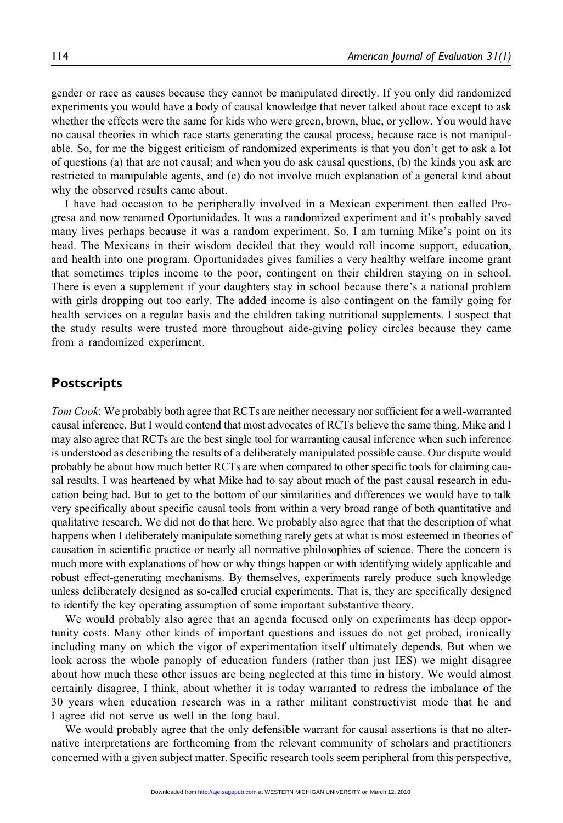gender or race as causes because they cannot be manipulated directly. If you only did randomized experiments you would have a body of causal knowledge that never talked about race except to ask whether the effects were the same for kids who were green, brown, blue, or yellow. You would have no causal theories in which race starts generating the causal process, because race is not manipulable. So, for me the biggest criticism of randomized experiments is that you don't get to ask a lot of questions (a) that are not causal; and when you do ask causal questions, (b) the kinds you ask are restricted to manipulable agents, and (c) do not involve much explanation of a general kind about why the observed results came about.

I have had occasion to be peripherally involved in a Mexican experiment then called Progresa and now renamed Oportunidades. It was a randomized experiment and it's probably saved many lives perhaps because it was a random experiment. So, I am turning Mike's point on its head. The Mexicans in their wisdom decided that they would roll income support, education, and health into one program. Oportunidades gives families a very healthy welfare income grant that sometimes triples income to the poor, contingent on their children staying on in school. There is even a supplement if your daughters stay in school because there's a national problem with girls dropping out too early. The added income is also contingent on the family going for health services on a regular basis and the children taking nutritional supplements. I suspect that the study results were trusted more throughout aide-giving policy circles because they came from a randomized experiment.

## **Postscripts**

Tom Cook: We probably both agree that RCTs are neither necessary nor sufficient for a well-warranted causal inference. But I would contend that most advocates of RCTs believe the same thing. Mike and I may also agree that RCTs are the best single tool for warranting causal inference when such inference is understood as describing the results of a deliberately manipulated possible cause. Our dispute would probably be about how much better RCTs are when compared to other specific tools for claiming causal results. I was heartened by what Mike had to say about much of the past causal research in education being bad. But to get to the bottom of our similarities and differences we would have to talk very specifically about specific causal tools from within a very broad range of both quantitative and qualitative research. We did not do that here. We probably also agree that that the description of what happens when I deliberately manipulate something rarely gets at what is most esteemed in theories of causation in scientific practice or nearly all normative philosophies of science. There the concern is much more with explanations of how or why things happen or with identifying widely applicable and robust effect-generating mechanisms. By themselves, experiments rarely produce such knowledge unless deliberately designed as so-called crucial experiments. That is, they are specifically designed to identify the key operating assumption of some important substantive theory.

We would probably also agree that an agenda focused only on experiments has deep opportunity costs. Many other kinds of important questions and issues do not get probed, ironically including many on which the vigor of experimentation itself ultimately depends. But when we look across the whole panoply of education funders (rather than just IES) we might disagree about how much these other issues are being neglected at this time in history. We would almost certainly disagree, I think, about whether it is today warranted to redress the imbalance of the 30 years when education research was in a rather militant constructivist mode that he and I agree did not serve us well in the long haul.

We would probably agree that the only defensible warrant for causal assertions is that no alternative interpretations are forthcoming from the relevant community of scholars and practitioners concerned with a given subject matter. Specific research tools seem peripheral from this perspective,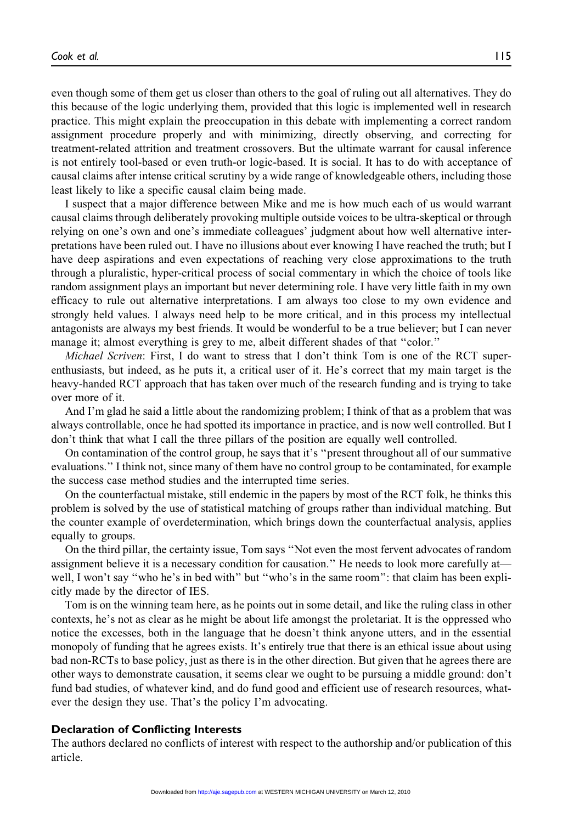even though some of them get us closer than others to the goal of ruling out all alternatives. They do this because of the logic underlying them, provided that this logic is implemented well in research practice. This might explain the preoccupation in this debate with implementing a correct random assignment procedure properly and with minimizing, directly observing, and correcting for treatment-related attrition and treatment crossovers. But the ultimate warrant for causal inference is not entirely tool-based or even truth-or logic-based. It is social. It has to do with acceptance of causal claims after intense critical scrutiny by a wide range of knowledgeable others, including those least likely to like a specific causal claim being made.

I suspect that a major difference between Mike and me is how much each of us would warrant causal claims through deliberately provoking multiple outside voices to be ultra-skeptical or through relying on one's own and one's immediate colleagues' judgment about how well alternative interpretations have been ruled out. I have no illusions about ever knowing I have reached the truth; but I have deep aspirations and even expectations of reaching very close approximations to the truth through a pluralistic, hyper-critical process of social commentary in which the choice of tools like random assignment plays an important but never determining role. I have very little faith in my own efficacy to rule out alternative interpretations. I am always too close to my own evidence and strongly held values. I always need help to be more critical, and in this process my intellectual antagonists are always my best friends. It would be wonderful to be a true believer; but I can never manage it; almost everything is grey to me, albeit different shades of that ''color.''

Michael Scriven: First, I do want to stress that I don't think Tom is one of the RCT superenthusiasts, but indeed, as he puts it, a critical user of it. He's correct that my main target is the heavy-handed RCT approach that has taken over much of the research funding and is trying to take over more of it.

And I'm glad he said a little about the randomizing problem; I think of that as a problem that was always controllable, once he had spotted its importance in practice, and is now well controlled. But I don't think that what I call the three pillars of the position are equally well controlled.

On contamination of the control group, he says that it's ''present throughout all of our summative evaluations.'' I think not, since many of them have no control group to be contaminated, for example the success case method studies and the interrupted time series.

On the counterfactual mistake, still endemic in the papers by most of the RCT folk, he thinks this problem is solved by the use of statistical matching of groups rather than individual matching. But the counter example of overdetermination, which brings down the counterfactual analysis, applies equally to groups.

On the third pillar, the certainty issue, Tom says ''Not even the most fervent advocates of random assignment believe it is a necessary condition for causation.'' He needs to look more carefully at well, I won't say "who he's in bed with" but "who's in the same room": that claim has been explicitly made by the director of IES.

Tom is on the winning team here, as he points out in some detail, and like the ruling class in other contexts, he's not as clear as he might be about life amongst the proletariat. It is the oppressed who notice the excesses, both in the language that he doesn't think anyone utters, and in the essential monopoly of funding that he agrees exists. It's entirely true that there is an ethical issue about using bad non-RCTs to base policy, just as there is in the other direction. But given that he agrees there are other ways to demonstrate causation, it seems clear we ought to be pursuing a middle ground: don't fund bad studies, of whatever kind, and do fund good and efficient use of research resources, whatever the design they use. That's the policy I'm advocating.

#### Declaration of Conflicting Interests

The authors declared no conflicts of interest with respect to the authorship and/or publication of this article.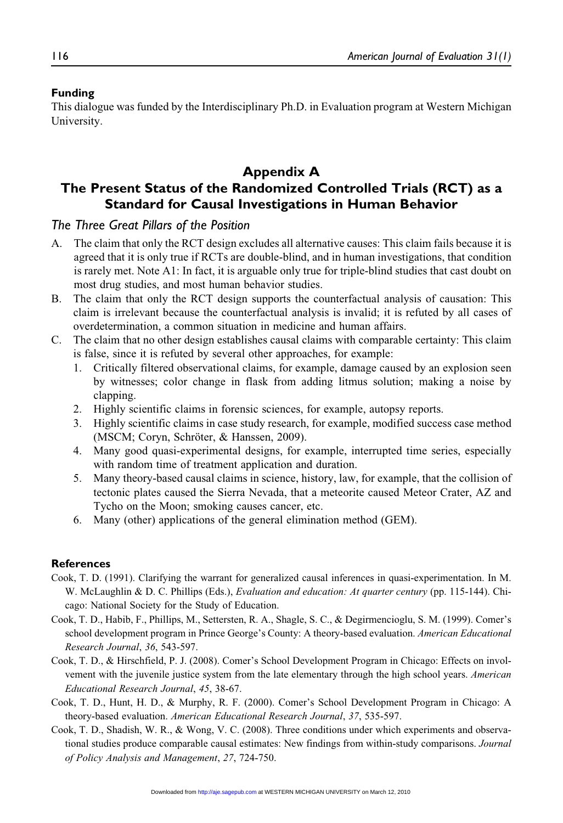#### Funding

This dialogue was funded by the Interdisciplinary Ph.D. in Evaluation program at Western Michigan University.

## Appendix A The Present Status of the Randomized Controlled Trials (RCT) as a Standard for Causal Investigations in Human Behavior

### The Three Great Pillars of the Position

- A. The claim that only the RCT design excludes all alternative causes: This claim fails because it is agreed that it is only true if RCTs are double-blind, and in human investigations, that condition is rarely met. Note A1: In fact, it is arguable only true for triple-blind studies that cast doubt on most drug studies, and most human behavior studies.
- B. The claim that only the RCT design supports the counterfactual analysis of causation: This claim is irrelevant because the counterfactual analysis is invalid; it is refuted by all cases of overdetermination, a common situation in medicine and human affairs.
- C. The claim that no other design establishes causal claims with comparable certainty: This claim is false, since it is refuted by several other approaches, for example:
	- 1. Critically filtered observational claims, for example, damage caused by an explosion seen by witnesses; color change in flask from adding litmus solution; making a noise by clapping.
	- 2. Highly scientific claims in forensic sciences, for example, autopsy reports.
	- 3. Highly scientific claims in case study research, for example, modified success case method (MSCM; Coryn, Schröter, & Hanssen, 2009).
	- 4. Many good quasi-experimental designs, for example, interrupted time series, especially with random time of treatment application and duration.
	- 5. Many theory-based causal claims in science, history, law, for example, that the collision of tectonic plates caused the Sierra Nevada, that a meteorite caused Meteor Crater, AZ and Tycho on the Moon; smoking causes cancer, etc.
	- 6. Many (other) applications of the general elimination method (GEM).

#### **References**

- Cook, T. D. (1991). Clarifying the warrant for generalized causal inferences in quasi-experimentation. In M. W. McLaughlin & D. C. Phillips (Eds.), Evaluation and education: At quarter century (pp. 115-144). Chicago: National Society for the Study of Education.
- Cook, T. D., Habib, F., Phillips, M., Settersten, R. A., Shagle, S. C., & Degirmencioglu, S. M. (1999). Comer's school development program in Prince George's County: A theory-based evaluation. American Educational Research Journal, 36, 543-597.
- Cook, T. D., & Hirschfield, P. J. (2008). Comer's School Development Program in Chicago: Effects on involvement with the juvenile justice system from the late elementary through the high school years. American Educational Research Journal, 45, 38-67.
- Cook, T. D., Hunt, H. D., & Murphy, R. F. (2000). Comer's School Development Program in Chicago: A theory-based evaluation. American Educational Research Journal, 37, 535-597.
- Cook, T. D., Shadish, W. R., & Wong, V. C. (2008). Three conditions under which experiments and observational studies produce comparable causal estimates: New findings from within-study comparisons. Journal of Policy Analysis and Management, 27, 724-750.